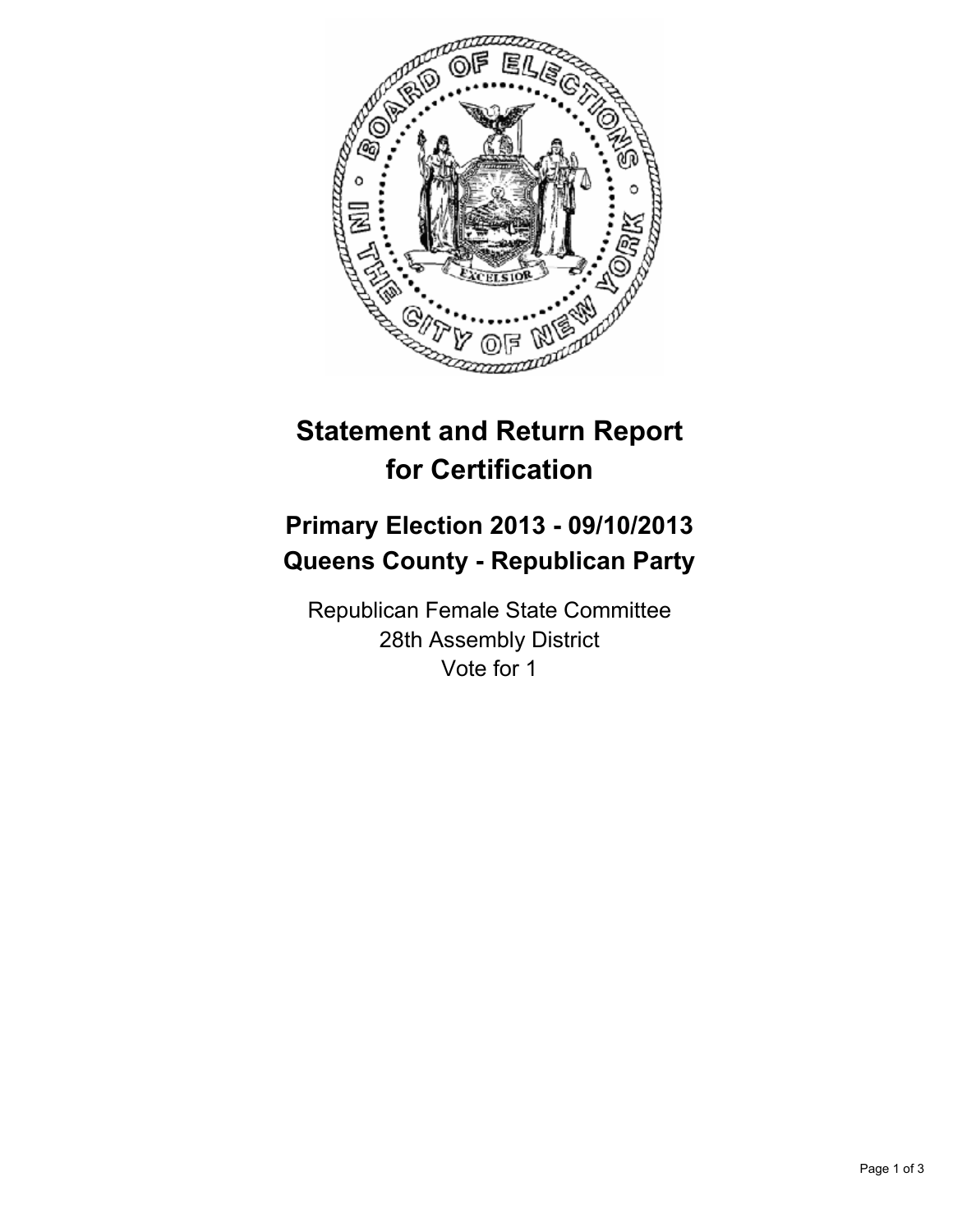

# **Statement and Return Report for Certification**

## **Primary Election 2013 - 09/10/2013 Queens County - Republican Party**

Republican Female State Committee 28th Assembly District Vote for 1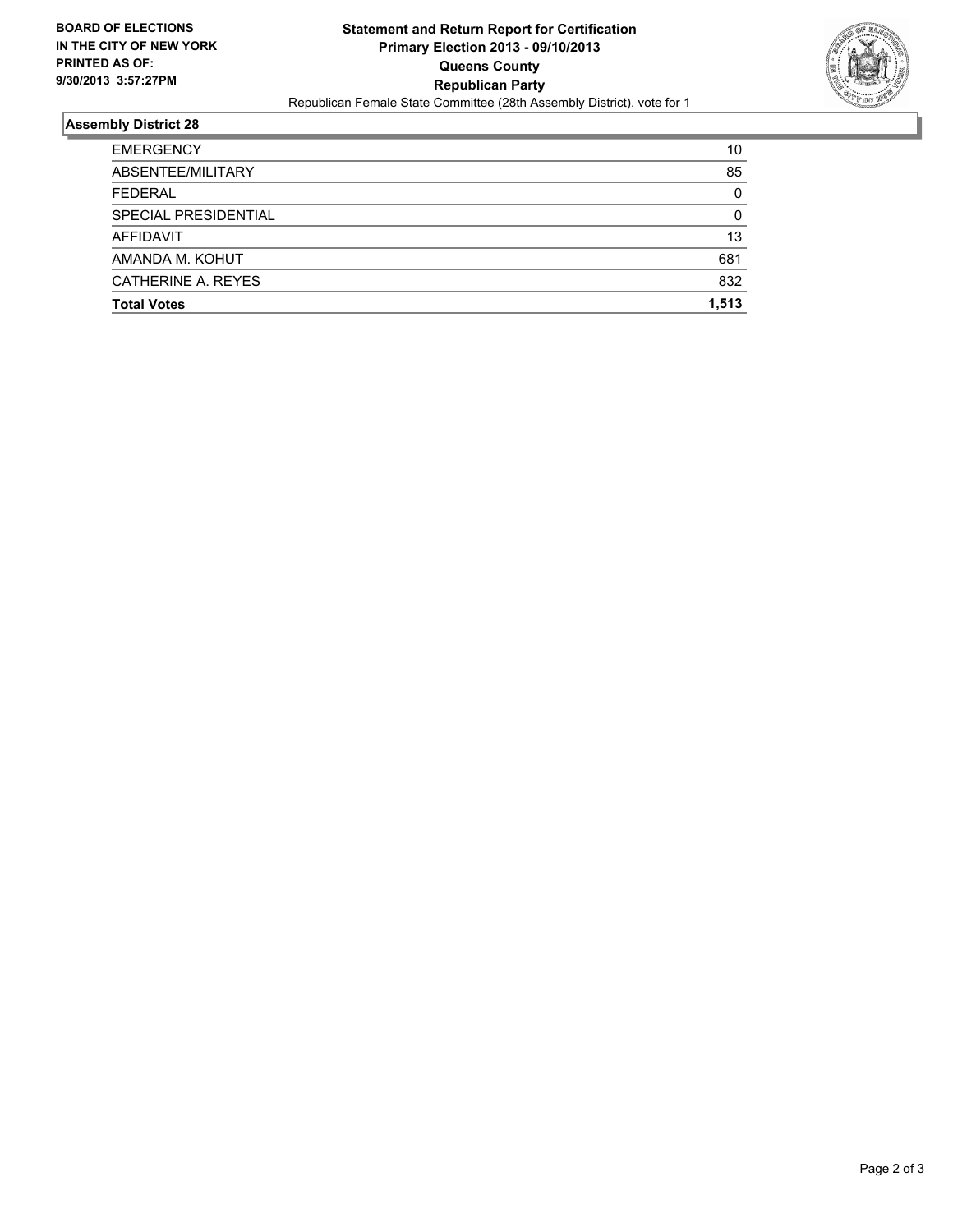

### **Assembly District 28**

| <b>Total Votes</b>   | 1.513    |
|----------------------|----------|
| CATHERINE A. REYES   | 832      |
| AMANDA M. KOHUT      | 681      |
| AFFIDAVIT            | 13       |
| SPECIAL PRESIDENTIAL | 0        |
| <b>FEDERAL</b>       | $\Omega$ |
| ABSENTEE/MILITARY    | 85       |
| <b>EMERGENCY</b>     | 10       |